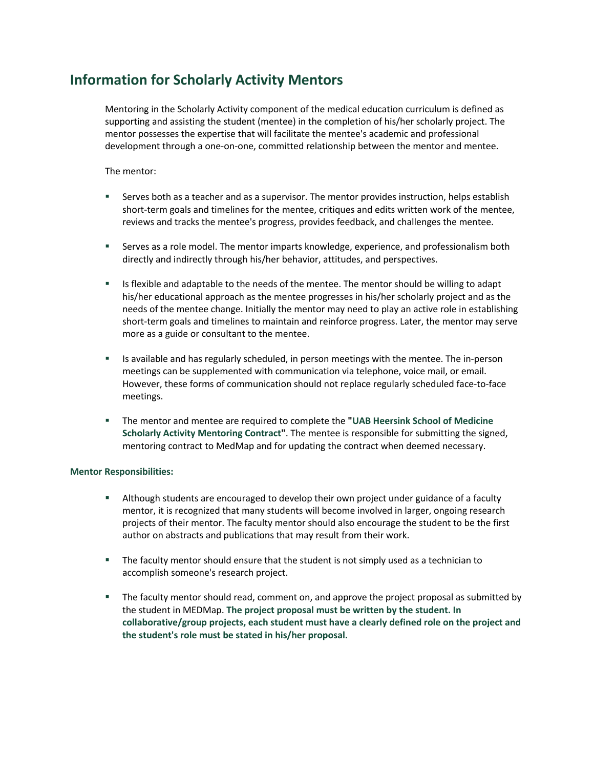## **Information for Scholarly Activity Mentors**

Mentoring in the Scholarly Activity component of the medical education curriculum is defined as supporting and assisting the student (mentee) in the completion of his/her scholarly project. The mentor possesses the expertise that will facilitate the mentee's academic and professional development through a one-on-one, committed relationship between the mentor and mentee.

The mentor:

- Serves both as a teacher and as a supervisor. The mentor provides instruction, helps establish short-term goals and timelines for the mentee, critiques and edits written work of the mentee, reviews and tracks the mentee's progress, provides feedback, and challenges the mentee.
- Serves as a role model. The mentor imparts knowledge, experience, and professionalism both directly and indirectly through his/her behavior, attitudes, and perspectives.
- Is flexible and adaptable to the needs of the mentee. The mentor should be willing to adapt his/her educational approach as the mentee progresses in his/her scholarly project and as the needs of the mentee change. Initially the mentor may need to play an active role in establishing short-term goals and timelines to maintain and reinforce progress. Later, the mentor may serve more as a guide or consultant to the mentee.
- § Is available and has regularly scheduled, in person meetings with the mentee. The in-person meetings can be supplemented with communication via telephone, voice mail, or email. However, these forms of communication should not replace regularly scheduled face-to-face meetings.
- § The mentor and mentee are required to complete the **"UAB Heersink School of Medicine Scholarly Activity Mentoring Contract"**. The mentee is responsible for submitting the signed, mentoring contract to MedMap and for updating the contract when deemed necessary.

## **Mentor Responsibilities:**

- **EXECT** Although students are encouraged to develop their own project under guidance of a faculty mentor, it is recognized that many students will become involved in larger, ongoing research projects of their mentor. The faculty mentor should also encourage the student to be the first author on abstracts and publications that may result from their work.
- The faculty mentor should ensure that the student is not simply used as a technician to accomplish someone's research project.
- § The faculty mentor should read, comment on, and approve the project proposal as submitted by the student in MEDMap. **The project proposal must be written by the student. In collaborative/group projects, each student must have a clearly defined role on the project and the student's role must be stated in his/her proposal.**